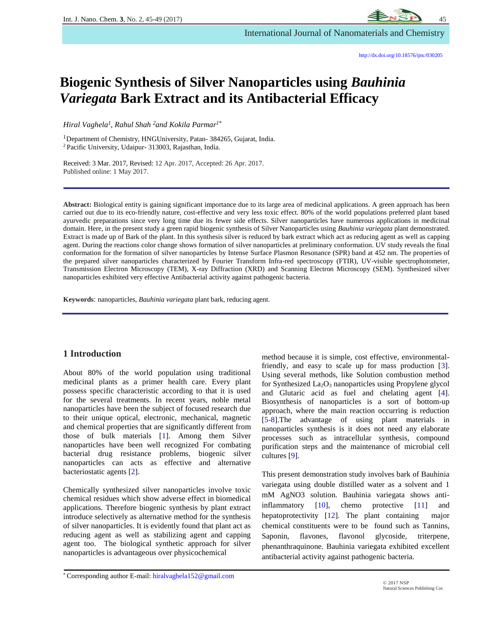# **Biogenic Synthesis of Silver Nanoparticles using** *Bauhinia Variegata* **Bark Extract and its Antibacterial Efficacy**

*Hiral Vaghela<sup>1</sup> , Rahul Shah <sup>2</sup>and Kokila Parmar1\**

<sup>1</sup>Department of Chemistry, HNGUniversity, Patan-384265, Gujarat, India. <sup>2</sup> Pacific University, Udaipur- 313003, Rajasthan, India.

Received: 3 Mar. 2017, Revised: 12 Apr. 2017, Accepted: 26 Apr. 2017. Published online: 1 May 2017.

**Abstract:** Biological entity is gaining significant importance due to its large area of medicinal applications. A green approach has been carried out due to its eco-friendly nature, cost-effective and very less toxic effect. 80% of the world populations preferred plant based ayurvedic preparations since very long time due its fewer side effects. Silver nanoparticles have numerous applications in medicinal domain. Here, in the present study a green rapid biogenic synthesis of Silver Nanoparticles using *Bauhinia variegata* plant demonstrated. Extract is made up of Bark of the plant. In this synthesis silver is reduced by bark extract which act as reducing agent as well as capping agent. During the reactions color change shows formation of silver nanoparticles at preliminary conformation. UV study reveals the final conformation for the formation of silver nanoparticles by Intense Surface Plasmon Resonance (SPR) band at 452 nm. The properties of the prepared silver nanoparticles characterized by Fourier Transform Infra-red spectroscopy (FTIR), UV-visible spectrophotometer, Transmission Electron Microscopy (TEM), X-ray Diffraction (XRD) and Scanning Electron Microscopy (SEM). Synthesized silver nanoparticles exhibited very effective Antibacterial activity against pathogenic bacteria.

**Keywords**: nanoparticles, *Bauhinia variegata* plant bark, reducing agent.

### **1 Introduction**

About 80% of the world population using traditional medicinal plants as a primer health care. Every plant possess specific characteristic according to that it is used for the several treatments. In recent years, noble metal nanoparticles have been the subject of focused research due to their unique optical, electronic, mechanical, magnetic and chemical properties that are significantly different from those of bulk materials [1]. Among them Silver nanoparticles have been well recognized For combating bacterial drug resistance problems, biogenic silver nanoparticles can acts as effective and alternative bacteriostatic agents [2].

Chemically synthesized silver nanoparticles involve toxic chemical residues which show adverse effect in biomedical applications. Therefore biogenic synthesis by plant extract introduce selectively as alternative method for the synthesis of silver nanoparticles. It is evidently found that plant act as reducing agent as well as stabilizing agent and capping agent too. The biological synthetic approach for silver nanoparticles is advantageous over physicochemical

method because it is simple, cost effective, environmentalfriendly, and easy to scale up for mass production [3]. Using several methods, like Solution combustion method for Synthesized  $La<sub>2</sub>O<sub>3</sub>$  nanoparticles using Propylene glycol and Glutaric acid as fuel and chelating agent [4]. Biosynthesis of nanoparticles is a sort of bottom-up approach, where the main reaction occurring is reduction [5-8].The advantage of using plant materials in nanoparticles synthesis is it does not need any elaborate processes such as intracellular synthesis, compound purification steps and the maintenance of microbial cell cultures [9].

This present demonstration study involves bark of Bauhinia variegata using double distilled water as a solvent and 1 mM AgNO3 solution. Bauhinia variegata shows antiinflammatory [10], chemo protective [11] and hepatoprotectivity [12]. The plant containing major chemical constituents were to be found such as Tannins, Saponin, flavones, flavonol glycoside, triterpene, phenanthraquinone. Bauhinia variegata exhibited excellent antibacterial activity against pathogenic bacteria.

\* Corresponding author E-mail: [hiralvaghela152@gmail.com](mailto:hiralvaghela152@gmail.com)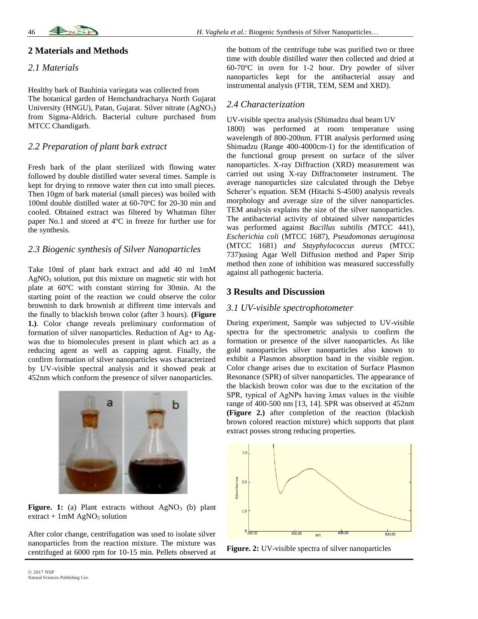## **2 Materials and Methods**

#### *2.1 Materials*

Healthy bark of Bauhinia variegata was collected from The botanical garden of Hemchandracharya North Gujarat University (HNGU), Patan, Gujarat. Silver nitrate (AgNO<sub>3</sub>) from Sigma-Aldrich. Bacterial culture purchased from MTCC Chandigarh.

## *2.2 Preparation of plant bark extract*

Fresh bark of the plant sterilized with flowing water followed by double distilled water several times. Sample is kept for drying to remove water then cut into small pieces. Then 10gm of bark material (small pieces) was boiled with 100ml double distilled water at  $60-70$ °C for 20-30 min and cooled. Obtained extract was filtered by Whatman filter paper No.1 and stored at 4°C in freeze for further use for the synthesis.

## *2.3 Biogenic synthesis of Silver Nanoparticles*

Take 10ml of plant bark extract and add 40 ml 1mM AgNO<sup>3</sup> solution, put this mixture on magnetic stir with hot plate at  $60^{\circ}$ C with constant stirring for 30min. At the starting point of the reaction we could observe the color brownish to dark brownish at different time intervals and the finally to blackish brown color (after 3 hours). **(Figure 1.)**. Color change reveals preliminary conformation of formation of silver nanoparticles. Reduction of Ag+ to Agwas due to biomolecules present in plant which act as a reducing agent as well as capping agent. Finally, the confirm formation of silver nanoparticles was characterized by UV-visible spectral analysis and it showed peak at 452nm which conform the presence of silver nanoparticles.



Figure. 1: (a) Plant extracts without AgNO<sub>3</sub> (b) plant  $extract + 1mM AgNO<sub>3</sub> solution$ 

After color change, centrifugation was used to isolate silver nanoparticles from the reaction mixture. The mixture was centrifuged at 6000 rpm for 10-15 min. Pellets observed at

## *2.4 Characterization*

UV-visible spectra analysis (Shimadzu dual beam UV 1800) was performed at room temperature using wavelength of 800-200nm. FTIR analysis performed using Shimadzu (Range 400-4000cm-1) for the identification of the functional group present on surface of the silver nanoparticles. X-ray Diffraction (XRD) measurement was carried out using X-ray Diffractometer instrument. The average nanoparticles size calculated through the Debye Scherer's equation. SEM (Hitachi S-4500) analysis reveals morphology and average size of the silver nanoparticles. TEM analysis explains the size of the silver nanoparticles. The antibacterial activity of obtained silver nanoparticles was performed against *Bacillus subtilis (*MTCC 441)*, Escherichia coli* (MTCC 1687)*, Pseudomonas aeruginosa*  (MTCC 1681) *and Stayphylococcus aureus* (MTCC 737)using Agar Well Diffusion method and Paper Strip method then zone of inhibition was measured successfully against all pathogenic bacteria.

## **3 Results and Discussion**

## *3.1 UV-visible spectrophotometer*

During experiment, Sample was subjected to UV-visible spectra for the spectrometric analysis to confirm the formation or presence of the silver nanoparticles. As like gold nanoparticles silver nanoparticles also known to exhibit a Plasmon absorption band in the visible region. Color change arises due to excitation of Surface Plasmon Resonance (SPR) of silver nanoparticles. The appearance of the blackish brown color was due to the excitation of the SPR, typical of AgNPs having λmax values in the visible range of 400-500 nm [13, 14]. SPR was observed at 452nm **(Figure 2.)** after completion of the reaction (blackish brown colored reaction mixture) which supports that plant extract posses strong reducing properties.



**Figure. 2:** UV-visible spectra of silver nanoparticles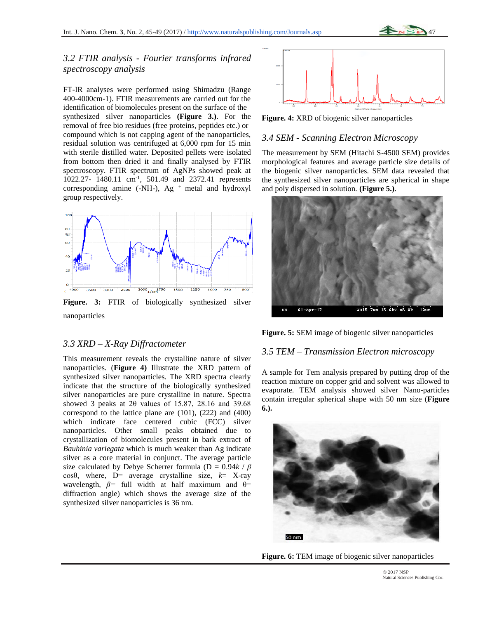## *3.2 FTIR analysis - Fourier transforms infrared spectroscopy analysis*

FT-IR analyses were performed using Shimadzu (Range 400-4000cm-1). FTIR measurements are carried out for the identification of biomolecules present on the surface of the synthesized silver nanoparticles **(Figure 3.)**. For the removal of free bio residues (free proteins, peptides etc.) or compound which is not capping agent of the nanoparticles, residual solution was centrifuged at 6,000 rpm for 15 min with sterile distilled water. Deposited pellets were isolated from bottom then dried it and finally analysed by FTIR spectroscopy. FTIR spectrum of AgNPs showed peak at 1022.27- 1480.11 cm-1 , 501.49 and 2372.41 represents corresponding amine (-NH-), Ag  $^+$  metal and hydroxyl group respectively.



**Figure. 3:** FTIR of biologically synthesized silver nanoparticles

### *3.3 XRD – X-Ray Diffractometer*

This measurement reveals the crystalline nature of silver nanoparticles. (**Figure 4)** Illustrate the XRD pattern of synthesized silver nanoparticles. The XRD spectra clearly indicate that the structure of the biologically synthesized silver nanoparticles are pure crystalline in nature. Spectra showed 3 peaks at 2θ values of 15.87, 28.16 and 39.68 correspond to the lattice plane are (101), (222) and (400) which indicate face centered cubic (FCC) silver nanoparticles. Other small peaks obtained due to crystallization of biomolecules present in bark extract of *Bauhinia variegata* which is much weaker than Ag indicate silver as a core material in conjunct. The average particle size calculated by Debye Scherrer formula (D = 0.94*k* / *β*  cosθ, where, D= average crystalline size, *k*= X-ray wavelength,  $\beta$ = full width at half maximum and  $\theta$ = diffraction angle) which shows the average size of the synthesized silver nanoparticles is 36 nm.



**Figure. 4:** XRD of biogenic silver nanoparticles

## *3.4 SEM - Scanning Electron Microscopy*

The measurement by SEM (Hitachi S-4500 SEM) provides morphological features and average particle size details of the biogenic silver nanoparticles. SEM data revealed that the synthesized silver nanoparticles are spherical in shape and poly dispersed in solution. **(Figure 5.)**.



**Figure. 5:** SEM image of biogenic silver nanoparticles

#### *3.5 TEM – Transmission Electron microscopy*

A sample for Tem analysis prepared by putting drop of the reaction mixture on copper grid and solvent was allowed to evaporate. TEM analysis showed silver Nano-particles contain irregular spherical shape with 50 nm size (**Figure 6.).**



**Figure. 6:** TEM image of biogenic silver nanoparticles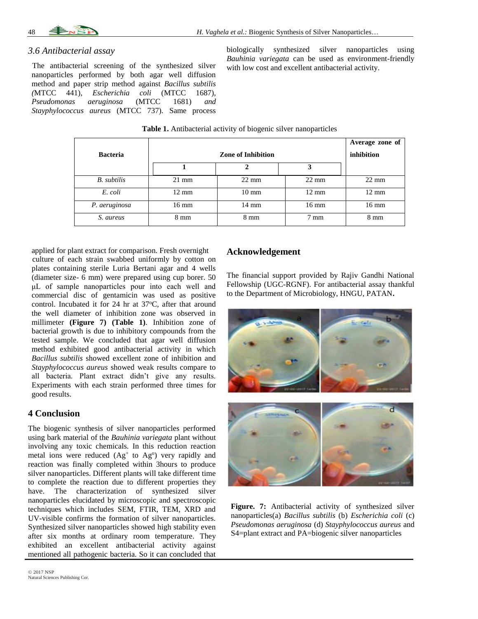

#### *3.6 Antibacterial assay*

The antibacterial screening of the synthesized silver nanoparticles performed by both agar well diffusion method and paper strip method against *Bacillus subtilis (*MTCC 441)*, Escherichia coli* (MTCC 1687)*, Pseudomonas aeruginosa* (MTCC 1681) *and Stayphylococcus aureus* (MTCC 737). Same process biologically synthesized silver nanoparticles using *Bauhinia variegata* can be used as environment-friendly with low cost and excellent antibacterial activity.

|                    |                           |                 |                 | Average zone of |
|--------------------|---------------------------|-----------------|-----------------|-----------------|
| <b>Bacteria</b>    | <b>Zone of Inhibition</b> |                 |                 | inhibition      |
|                    |                           | 2               | 3               |                 |
| <b>B.</b> subtilis | $21 \text{ mm}$           | $22 \text{ mm}$ | $22 \text{ mm}$ | $22 \text{ mm}$ |
| E. coli            | $12 \text{ mm}$           | $10 \text{ mm}$ | $12 \text{ mm}$ | $12 \text{ mm}$ |
| P. aeruginosa      | 16 mm                     | 14 mm           | $16 \text{ mm}$ | $16 \text{ mm}$ |
| S. aureus          | $8 \text{ mm}$            | $8 \text{ mm}$  | $7 \text{ mm}$  | $8 \text{ mm}$  |

**Table 1.** Antibacterial activity of biogenic silver nanoparticles

applied for plant extract for comparison. Fresh overnight culture of each strain swabbed uniformly by cotton on plates containing sterile Luria Bertani agar and 4 wells (diameter size- 6 mm) were prepared using cup borer. 50 μL of sample nanoparticles pour into each well and commercial disc of gentamicin was used as positive control. Incubated it for  $24$  hr at  $37^{\circ}$ C, after that around the well diameter of inhibition zone was observed in millimeter **(Figure 7) (Table 1)**. Inhibition zone of bacterial growth is due to inhibitory compounds from the tested sample. We concluded that agar well diffusion method exhibited good antibacterial activity in which *Bacillus subtilis* showed excellent zone of inhibition and *Stayphylococcus aureus* showed weak results compare to all bacteria. Plant extract didn't give any results. Experiments with each strain performed three times for good results.

### **4 Conclusion**

The biogenic synthesis of silver nanoparticles performed using bark material of the *Bauhinia variegata* plant without involving any toxic chemicals. In this reduction reaction metal ions were reduced  $(Ag<sup>+</sup> to Ag<sup>o</sup>)$  very rapidly and reaction was finally completed within 3hours to produce silver nanoparticles. Different plants will take different time to complete the reaction due to different properties they have. The characterization of synthesized silver nanoparticles elucidated by microscopic and spectroscopic techniques which includes SEM, FTIR, TEM, XRD and UV-visible confirms the formation of silver nanoparticles. Synthesized silver nanoparticles showed high stability even after six months at ordinary room temperature. They exhibited an excellent antibacterial activity against mentioned all pathogenic bacteria. So it can concluded that

## **Acknowledgement**

The financial support provided by Rajiv Gandhi National Fellowship (UGC-RGNF). For antibacterial assay thankful to the Department of Microbiology, HNGU, PATAN**.**



Figure. 7: Antibacterial activity of synthesized silver nanoparticles(a) *Bacillus subtilis* (b) *Escherichia coli* (c) *Pseudomonas aeruginosa* (d) *Stayphylococcus aureus* and S4=plant extract and PA=biogenic silver nanoparticles